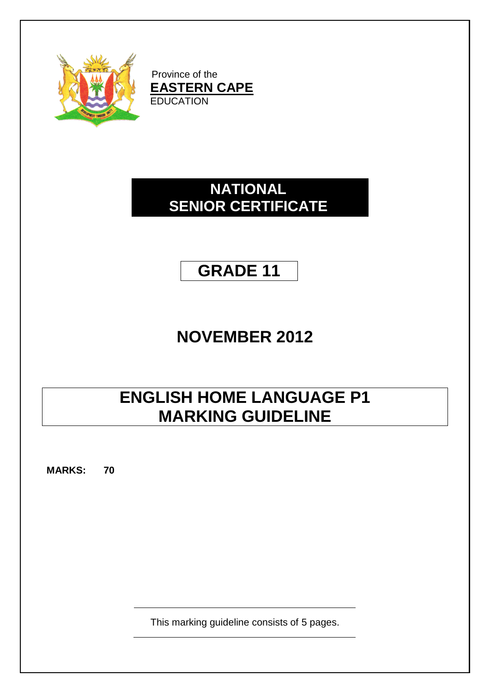

Province of the **EASTERN CAPE EDUCATION** 

### **NATIONAL SENIOR CERTIFICATE**

### **GRADE 11**

# **NOVEMBER 2012**

# **ENGLISH HOME LANGUAGE P1 MARKING GUIDELINE**

**MARKS: 70**

This marking guideline consists of 5 pages.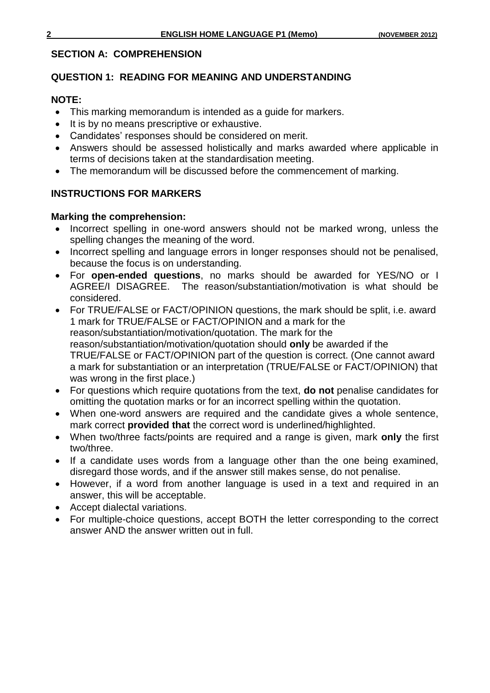#### **SECTION A: COMPREHENSION**

#### **QUESTION 1: READING FOR MEANING AND UNDERSTANDING**

#### **NOTE:**

- This marking memorandum is intended as a guide for markers.
- It is by no means prescriptive or exhaustive.
- Candidates' responses should be considered on merit.
- Answers should be assessed holistically and marks awarded where applicable in terms of decisions taken at the standardisation meeting.
- The memorandum will be discussed before the commencement of marking.

#### **INSTRUCTIONS FOR MARKERS**

#### **Marking the comprehension:**

- Incorrect spelling in one-word answers should not be marked wrong, unless the spelling changes the meaning of the word.
- Incorrect spelling and language errors in longer responses should not be penalised, because the focus is on understanding.
- For **open-ended questions**, no marks should be awarded for YES/NO or I AGREE/I DISAGREE. The reason/substantiation/motivation is what should be considered.
- For TRUE/FALSE or FACT/OPINION questions, the mark should be split, i.e. award 1 mark for TRUE/FALSE or FACT/OPINION and a mark for the reason/substantiation/motivation/quotation. The mark for the reason/substantiation/motivation/quotation should **only** be awarded if the TRUE/FALSE or FACT/OPINION part of the question is correct. (One cannot award a mark for substantiation or an interpretation (TRUE/FALSE or FACT/OPINION) that was wrong in the first place.)
- For questions which require quotations from the text, **do not** penalise candidates for omitting the quotation marks or for an incorrect spelling within the quotation.
- When one-word answers are required and the candidate gives a whole sentence, mark correct **provided that** the correct word is underlined/highlighted.
- When two/three facts/points are required and a range is given, mark **only** the first two/three.
- If a candidate uses words from a language other than the one being examined, disregard those words, and if the answer still makes sense, do not penalise.
- However, if a word from another language is used in a text and required in an answer, this will be acceptable.
- Accept dialectal variations.
- For multiple-choice questions, accept BOTH the letter corresponding to the correct answer AND the answer written out in full.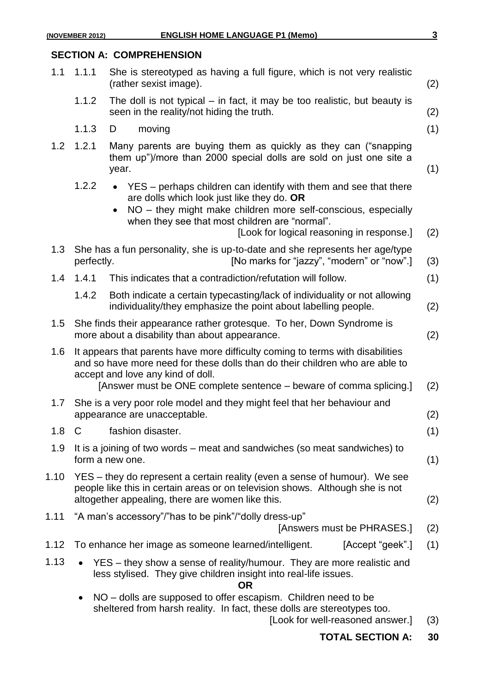#### **SECTION A: COMPREHENSION**

| 1.1     | 1.1.1                                                                                                                                                                                                                                                                     | She is stereotyped as having a full figure, which is not very realistic<br>(rather sexist image).                                                                                                                                                                                           | (2) |
|---------|---------------------------------------------------------------------------------------------------------------------------------------------------------------------------------------------------------------------------------------------------------------------------|---------------------------------------------------------------------------------------------------------------------------------------------------------------------------------------------------------------------------------------------------------------------------------------------|-----|
|         | 1.1.2                                                                                                                                                                                                                                                                     | The doll is not typical $-$ in fact, it may be too realistic, but beauty is<br>seen in the reality/not hiding the truth.                                                                                                                                                                    | (2) |
|         | 1.1.3                                                                                                                                                                                                                                                                     | moving<br>D                                                                                                                                                                                                                                                                                 | (1) |
| 1.2     | 1.2.1                                                                                                                                                                                                                                                                     | Many parents are buying them as quickly as they can ("snapping<br>them up")/more than 2000 special dolls are sold on just one site a<br>year.                                                                                                                                               | (1) |
|         | 1.2.2                                                                                                                                                                                                                                                                     | YES – perhaps children can identify with them and see that there<br>$\bullet$<br>are dolls which look just like they do. OR<br>NO – they might make children more self-conscious, especially<br>when they see that most children are "normal".<br>[Look for logical reasoning in response.] | (2) |
| 1.3     | She has a fun personality, she is up-to-date and she represents her age/type<br>[No marks for "jazzy", "modern" or "now".]<br>perfectly.                                                                                                                                  |                                                                                                                                                                                                                                                                                             | (3) |
| 1.4     | 1.4.1                                                                                                                                                                                                                                                                     | This indicates that a contradiction/refutation will follow.                                                                                                                                                                                                                                 | (1) |
|         | 1.4.2                                                                                                                                                                                                                                                                     | Both indicate a certain typecasting/lack of individuality or not allowing<br>individuality/they emphasize the point about labelling people.                                                                                                                                                 | (2) |
| $1.5\,$ | She finds their appearance rather grotesque. To her, Down Syndrome is<br>more about a disability than about appearance.                                                                                                                                                   |                                                                                                                                                                                                                                                                                             |     |
| 1.6     | It appears that parents have more difficulty coming to terms with disabilities<br>and so have more need for these dolls than do their children who are able to<br>accept and love any kind of doll.<br>[Answer must be ONE complete sentence – beware of comma splicing.] |                                                                                                                                                                                                                                                                                             |     |
| 1.7     | She is a very poor role model and they might feel that her behaviour and<br>appearance are unacceptable.                                                                                                                                                                  |                                                                                                                                                                                                                                                                                             |     |
| 1.8     | C                                                                                                                                                                                                                                                                         | fashion disaster.                                                                                                                                                                                                                                                                           | (1) |
| 1.9     | It is a joining of two words – meat and sandwiches (so meat sandwiches) to<br>form a new one.                                                                                                                                                                             |                                                                                                                                                                                                                                                                                             | (1) |
| 1.10    | YES – they do represent a certain reality (even a sense of humour). We see<br>people like this in certain areas or on television shows. Although she is not<br>altogether appealing, there are women like this.                                                           |                                                                                                                                                                                                                                                                                             |     |
| 1.11    |                                                                                                                                                                                                                                                                           | "A man's accessory"/"has to be pink"/"dolly dress-up"<br>[Answers must be PHRASES.]                                                                                                                                                                                                         | (2) |
| 1.12    |                                                                                                                                                                                                                                                                           | To enhance her image as someone learned/intelligent.<br>[Accept "geek".]                                                                                                                                                                                                                    | (1) |
| 1.13    |                                                                                                                                                                                                                                                                           | YES – they show a sense of reality/humour. They are more realistic and<br>less stylised. They give children insight into real-life issues.<br><b>OR</b>                                                                                                                                     |     |
|         | $\bullet$                                                                                                                                                                                                                                                                 | NO – dolls are supposed to offer escapism. Children need to be<br>sheltered from harsh reality. In fact, these dolls are stereotypes too.<br>[Look for well-reasoned answer.]                                                                                                               | (3) |

**TOTAL SECTION A: 30**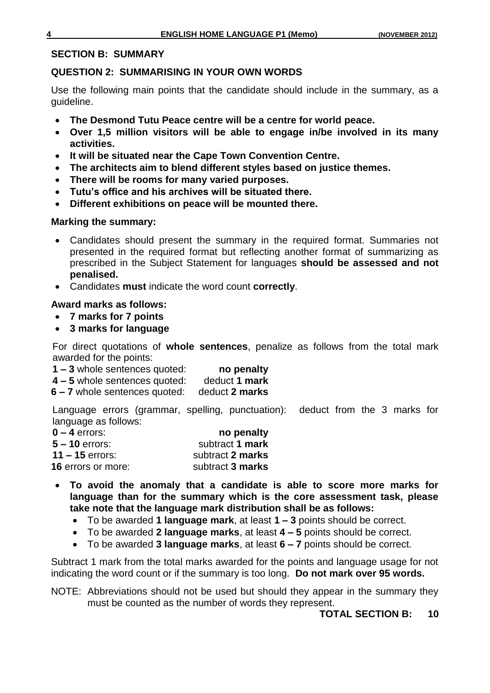#### **SECTION B: SUMMARY**

#### **QUESTION 2: SUMMARISING IN YOUR OWN WORDS**

Use the following main points that the candidate should include in the summary, as a guideline.

- **The Desmond Tutu Peace centre will be a centre for world peace.**
- **Over 1,5 million visitors will be able to engage in/be involved in its many activities.**
- **It will be situated near the Cape Town Convention Centre.**
- **The architects aim to blend different styles based on justice themes.**
- **There will be rooms for many varied purposes.**
- **Tutu's office and his archives will be situated there.**
- **Different exhibitions on peace will be mounted there.**

#### **Marking the summary:**

- Candidates should present the summary in the required format. Summaries not presented in the required format but reflecting another format of summarizing as prescribed in the Subject Statement for languages **should be assessed and not penalised.**
- Candidates **must** indicate the word count **correctly**.

#### **Award marks as follows:**

- **7 marks for 7 points**
- **3 marks for language**

For direct quotations of **whole sentences**, penalize as follows from the total mark awarded for the points:

- **1 – 3** whole sentences quoted: **no penalty**
- **4 – 5** whole sentences quoted: deduct **1 mark**
- **6 – 7** whole sentences quoted: deduct **2 marks**

Language errors (grammar, spelling, punctuation): deduct from the 3 marks for language as follows:

| $0 - 4$ errors:           | no penalty       |
|---------------------------|------------------|
| $5 - 10$ errors:          | subtract 1 mark  |
| 11 – 15 errors:           | subtract 2 marks |
| <b>16 errors or more:</b> | subtract 3 marks |

- **To avoid the anomaly that a candidate is able to score more marks for language than for the summary which is the core assessment task, please take note that the language mark distribution shall be as follows:** 
	- To be awarded **1 language mark**, at least **1 – 3** points should be correct.
	- To be awarded **2 language marks**, at least **4 – 5** points should be correct.
	- To be awarded **3 language marks**, at least **6 – 7** points should be correct.

Subtract 1 mark from the total marks awarded for the points and language usage for not indicating the word count or if the summary is too long. **Do not mark over 95 words.**

NOTE: Abbreviations should not be used but should they appear in the summary they must be counted as the number of words they represent.